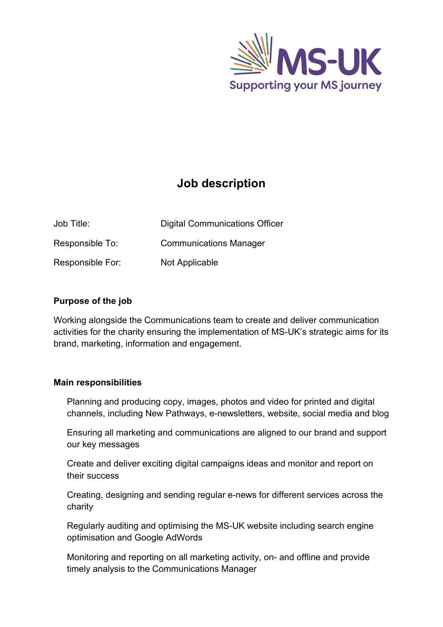

# **Job description**

| Job Title:       | <b>Digital Communications Officer</b> |
|------------------|---------------------------------------|
| Responsible To:  | <b>Communications Manager</b>         |
| Responsible For: | <b>Not Applicable</b>                 |

## **Purpose of the job**

Working alongside the Communications team to create and deliver communication activities for the charity ensuring the implementation of MS-UK's strategic aims for its brand, marketing, information and engagement.

## **Main responsibilities**

Planning and producing copy, images, photos and video for printed and digital channels, including New Pathways, e-newsletters, website, social media and blog

Ensuring all marketing and communications are aligned to our brand and support our key messages

Create and deliver exciting digital campaigns ideas and monitor and report on their success

Creating, designing and sending regular e-news for different services across the charity

Regularly auditing and optimising the MS-UK website including search engine optimisation and Google AdWords

Monitoring and reporting on all marketing activity, on- and offline and provide timely analysis to the Communications Manager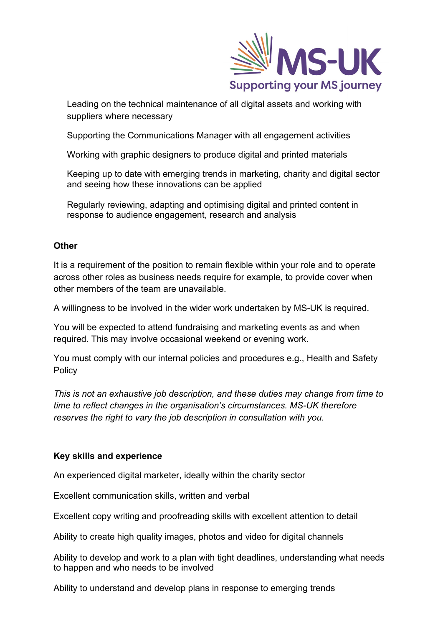

Leading on the technical maintenance of all digital assets and working with suppliers where necessary

Supporting the Communications Manager with all engagement activities

Working with graphic designers to produce digital and printed materials

Keeping up to date with emerging trends in marketing, charity and digital sector and seeing how these innovations can be applied

Regularly reviewing, adapting and optimising digital and printed content in response to audience engagement, research and analysis

### **Other**

It is a requirement of the position to remain flexible within your role and to operate across other roles as business needs require for example, to provide cover when other members of the team are unavailable.

A willingness to be involved in the wider work undertaken by MS-UK is required.

You will be expected to attend fundraising and marketing events as and when required. This may involve occasional weekend or evening work.

You must comply with our internal policies and procedures e.g., Health and Safety **Policy** 

*This is not an exhaustive job description, and these duties may change from time to time to reflect changes in the organisation's circumstances. MS-UK therefore reserves the right to vary the job description in consultation with you.*

## **Key skills and experience**

An experienced digital marketer, ideally within the charity sector

Excellent communication skills, written and verbal

Excellent copy writing and proofreading skills with excellent attention to detail

Ability to create high quality images, photos and video for digital channels

Ability to develop and work to a plan with tight deadlines, understanding what needs to happen and who needs to be involved

Ability to understand and develop plans in response to emerging trends